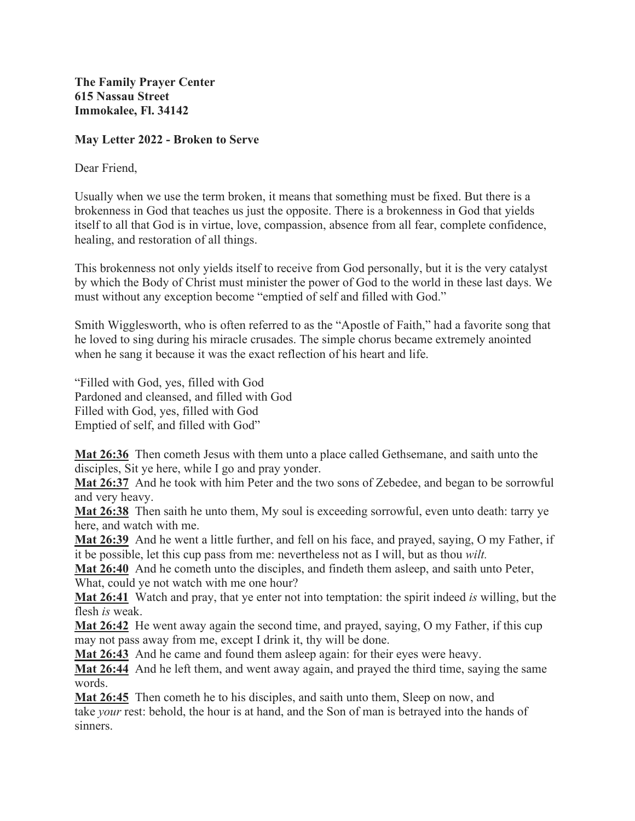**The Family Prayer Center 615 Nassau Street Immokalee, Fl. 34142** 

## **May Letter 2022 - Broken to Serve**

Dear Friend,

Usually when we use the term broken, it means that something must be fixed. But there is a brokenness in God that teaches us just the opposite. There is a brokenness in God that yields itself to all that God is in virtue, love, compassion, absence from all fear, complete confidence, healing, and restoration of all things.

This brokenness not only yields itself to receive from God personally, but it is the very catalyst by which the Body of Christ must minister the power of God to the world in these last days. We must without any exception become "emptied of self and filled with God."

Smith Wigglesworth, who is often referred to as the "Apostle of Faith," had a favorite song that he loved to sing during his miracle crusades. The simple chorus became extremely anointed when he sang it because it was the exact reflection of his heart and life.

"Filled with God, yes, filled with God Pardoned and cleansed, and filled with God Filled with God, yes, filled with God Emptied of self, and filled with God"

**Mat 26:36** Then cometh Jesus with them unto a place called Gethsemane, and saith unto the disciples, Sit ye here, while I go and pray yonder.

**Mat 26:37** And he took with him Peter and the two sons of Zebedee, and began to be sorrowful and very heavy.

**Mat 26:38** Then saith he unto them, My soul is exceeding sorrowful, even unto death: tarry ye here, and watch with me.

**Mat 26:39** And he went a little further, and fell on his face, and prayed, saying, O my Father, if it be possible, let this cup pass from me: nevertheless not as I will, but as thou *wilt.*

**Mat 26:40** And he cometh unto the disciples, and findeth them asleep, and saith unto Peter, What, could ve not watch with me one hour?

**Mat 26:41** Watch and pray, that ye enter not into temptation: the spirit indeed *is* willing, but the flesh *is* weak.

**Mat 26:42** He went away again the second time, and prayed, saying, O my Father, if this cup may not pass away from me, except I drink it, thy will be done.

**Mat 26:43** And he came and found them asleep again: for their eyes were heavy.

**Mat 26:44** And he left them, and went away again, and prayed the third time, saying the same words.

**Mat 26:45** Then cometh he to his disciples, and saith unto them, Sleep on now, and take *your* rest: behold, the hour is at hand, and the Son of man is betrayed into the hands of sinners.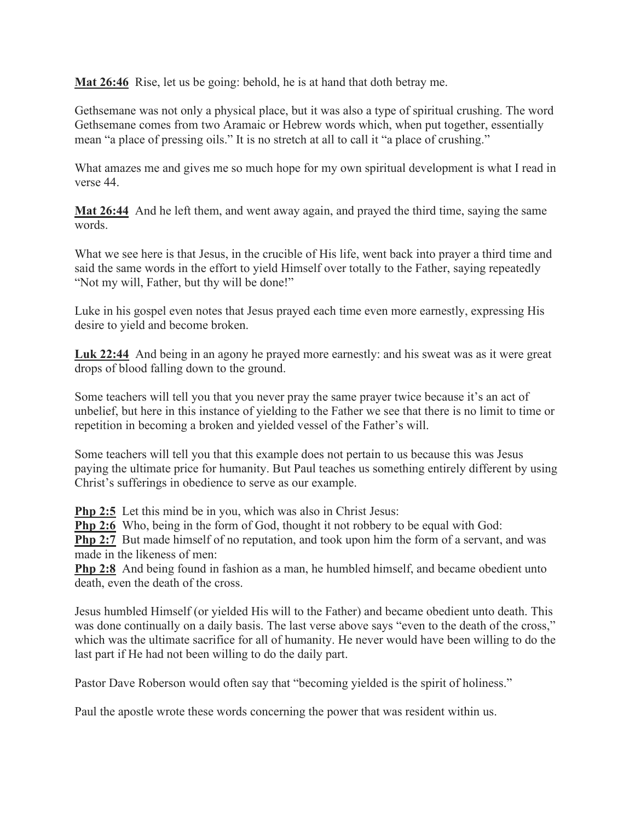**Mat 26:46** Rise, let us be going: behold, he is at hand that doth betray me.

Gethsemane was not only a physical place, but it was also a type of spiritual crushing. The word Gethsemane comes from two Aramaic or Hebrew words which, when put together, essentially mean "a place of pressing oils." It is no stretch at all to call it "a place of crushing."

What amazes me and gives me so much hope for my own spiritual development is what I read in verse 44.

**Mat 26:44** And he left them, and went away again, and prayed the third time, saying the same words.

What we see here is that Jesus, in the crucible of His life, went back into prayer a third time and said the same words in the effort to yield Himself over totally to the Father, saying repeatedly "Not my will, Father, but thy will be done!"

Luke in his gospel even notes that Jesus prayed each time even more earnestly, expressing His desire to yield and become broken.

**Luk 22:44** And being in an agony he prayed more earnestly: and his sweat was as it were great drops of blood falling down to the ground.

Some teachers will tell you that you never pray the same prayer twice because it's an act of unbelief, but here in this instance of yielding to the Father we see that there is no limit to time or repetition in becoming a broken and yielded vessel of the Father's will.

Some teachers will tell you that this example does not pertain to us because this was Jesus paying the ultimate price for humanity. But Paul teaches us something entirely different by using Christ's sufferings in obedience to serve as our example.

**Php 2:5** Let this mind be in you, which was also in Christ Jesus:

**Php 2:6** Who, being in the form of God, thought it not robbery to be equal with God:

**Php 2:7** But made himself of no reputation, and took upon him the form of a servant, and was made in the likeness of men:

**Php 2:8** And being found in fashion as a man, he humbled himself, and became obedient unto death, even the death of the cross.

Jesus humbled Himself (or yielded His will to the Father) and became obedient unto death. This was done continually on a daily basis. The last verse above says "even to the death of the cross," which was the ultimate sacrifice for all of humanity. He never would have been willing to do the last part if He had not been willing to do the daily part.

Pastor Dave Roberson would often say that "becoming yielded is the spirit of holiness."

Paul the apostle wrote these words concerning the power that was resident within us.